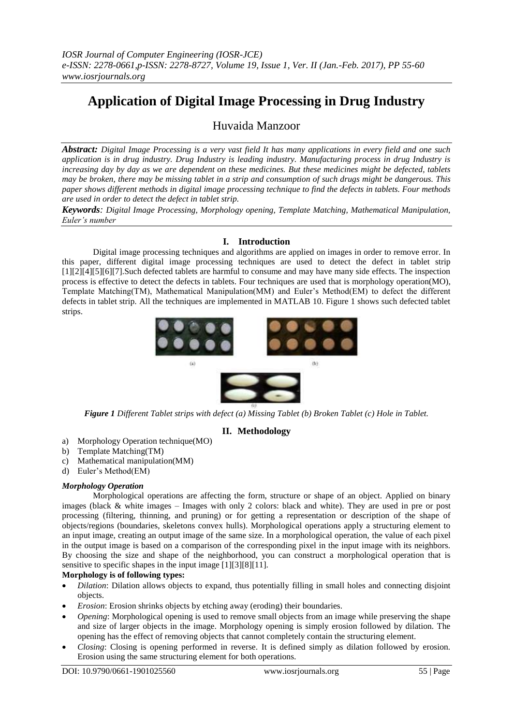# **Application of Digital Image Processing in Drug Industry**

# Huvaida Manzoor

*Abstract: Digital Image Processing is a very vast field It has many applications in every field and one such application is in drug industry. Drug Industry is leading industry. Manufacturing process in drug Industry is increasing day by day as we are dependent on these medicines. But these medicines might be defected, tablets may be broken, there may be missing tablet in a strip and consumption of such drugs might be dangerous. This paper shows different methods in digital image processing technique to find the defects in tablets. Four methods are used in order to detect the defect in tablet strip.*

*Keywords: Digital Image Processing, Morphology opening, Template Matching, Mathematical Manipulation, Euler's number*

#### **I. Introduction**

Digital image processing techniques and algorithms are applied on images in order to remove error. In this paper, different digital image processing techniques are used to detect the defect in tablet strip [1][2][4][5][6][7].Such defected tablets are harmful to consume and may have many side effects. The inspection process is effective to detect the defects in tablets. Four techniques are used that is morphology operation(MO), Template Matching(TM), Mathematical Manipulation(MM) and Euler's Method(EM) to defect the different defects in tablet strip. All the techniques are implemented in MATLAB 10. Figure 1 shows such defected tablet strips.



*Figure 1 Different Tablet strips with defect (a) Missing Tablet (b) Broken Tablet (c) Hole in Tablet.*

## **II. Methodology**

- a) Morphology Operation technique(MO)
- b) Template Matching(TM)
- c) Mathematical manipulation(MM)
- d) Euler's Method(EM)

#### *Morphology Operation*

Morphological operations are affecting the form, structure or shape of an object. Applied on binary images (black & white images – Images with only 2 colors: black and white). They are used in pre or post processing (filtering, thinning, and pruning) or for getting a representation or description of the shape of objects/regions (boundaries, skeletons convex hulls). Morphological operations apply a structuring element to an input image, creating an output image of the same size. In a morphological operation, the value of each pixel in the output image is based on a comparison of the corresponding pixel in the input image with its neighbors. By choosing the size and shape of the neighborhood, you can construct a morphological operation that is sensitive to specific shapes in the input image [1][3][8][11].

#### **Morphology is of following types:**

- *Dilation*: Dilation allows objects to expand, thus potentially filling in small holes and connecting disjoint objects.
- *Erosion*: Erosion shrinks objects by etching away (eroding) their boundaries.
- *Opening*: Morphological opening is used to remove small objects from an image while preserving the shape and size of larger objects in the image. Morphology opening is simply erosion followed by dilation. The opening has the effect of removing objects that cannot completely contain the structuring element.
- *Closing*: Closing is opening performed in reverse. It is defined simply as dilation followed by erosion. Erosion using the same structuring element for both operations*.*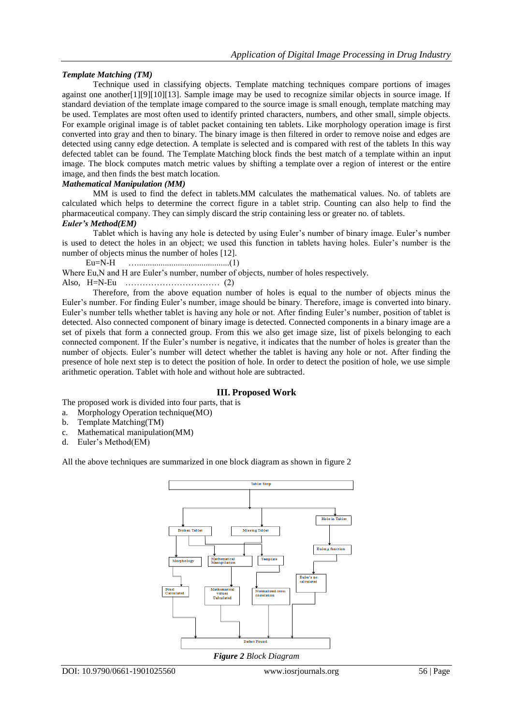#### *Template Matching (TM)*

Technique used in classifying objects. Template matching techniques compare portions of images against one another[1][9][10][13]. Sample image may be used to recognize similar objects in source image. If standard deviation of the template image compared to the source image is small enough, template matching may be used. Templates are most often used to identify printed characters, numbers, and other small, simple objects. For example original image is of tablet packet containing ten tablets. Like morphology operation image is first converted into gray and then to binary. The binary image is then filtered in order to remove noise and edges are detected using canny edge detection. A template is selected and is compared with rest of the tablets In this way defected tablet can be found. The Template Matching block finds the best match of a template within an input image. The block computes match metric values by shifting a template over a region of interest or the entire image, and then finds the best match location.

#### *Mathematical Manipulation (MM)*

MM is used to find the defect in tablets.MM calculates the mathematical values. No. of tablets are calculated which helps to determine the correct figure in a tablet strip. Counting can also help to find the pharmaceutical company. They can simply discard the strip containing less or greater no. of tablets.

#### *Euler's Method(EM)*

Tablet which is having any hole is detected by using Euler's number of binary image. Euler's number is used to detect the holes in an object; we used this function in tablets having holes. Euler's number is the number of objects minus the number of holes [12].

Eu=N-H …...........................................(1)

Where Eu,N and H are Euler's number, number of objects, number of holes respectively.

Also, H=N-Eu …………………………… (2)

Therefore, from the above equation number of holes is equal to the number of objects minus the Euler's number. For finding Euler's number, image should be binary. Therefore, image is converted into binary. Euler's number tells whether tablet is having any hole or not. After finding Euler's number, position of tablet is detected. Also connected component of binary image is detected. Connected components in a binary image are a set of pixels that form a connected group. From this we also get image size, list of pixels belonging to each connected component. If the Euler's number is negative, it indicates that the number of holes is greater than the number of objects. Euler's number will detect whether the tablet is having any hole or not. After finding the presence of hole next step is to detect the position of hole. In order to detect the position of hole, we use simple arithmetic operation. Tablet with hole and without hole are subtracted.

#### **III. Proposed Work**

The proposed work is divided into four parts, that is

- a. Morphology Operation technique(MO)
- b. Template Matching(TM)
- c. Mathematical manipulation(MM)
- d. Euler's Method(EM)

All the above techniques are summarized in one block diagram as shown in figure 2



*Figure 2 Block Diagram*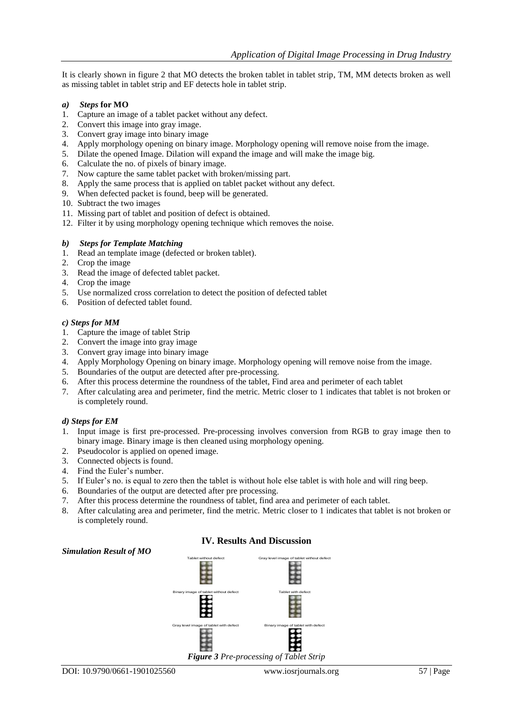It is clearly shown in figure 2 that MO detects the broken tablet in tablet strip, TM, MM detects broken as well as missing tablet in tablet strip and EF detects hole in tablet strip.

#### *a) Steps* **for MO**

- 1. Capture an image of a tablet packet without any defect.
- 2. Convert this image into gray image.
- 3. Convert gray image into binary image
- 4. Apply morphology opening on binary image. Morphology opening will remove noise from the image.
- 5. Dilate the opened Image. Dilation will expand the image and will make the image big.
- 6. Calculate the no. of pixels of binary image.
- 7. Now capture the same tablet packet with broken/missing part.
- 8. Apply the same process that is applied on tablet packet without any defect.
- 9. When defected packet is found, beep will be generated.
- 10. Subtract the two images
- 11. Missing part of tablet and position of defect is obtained.
- 12. Filter it by using morphology opening technique which removes the noise.
- *b) Steps for Template Matching*
- 1. Read an template image (defected or broken tablet).
- 2. Crop the image
- 3. Read the image of defected tablet packet.
- 4. Crop the image
- 5. Use normalized cross correlation to detect the position of defected tablet
- 6. Position of defected tablet found.

#### *c) Steps for MM*

- 1. Capture the image of tablet Strip
- 2. Convert the image into gray image
- 3. Convert gray image into binary image
- 4. Apply Morphology Opening on binary image. Morphology opening will remove noise from the image.
- 5. Boundaries of the output are detected after pre-processing.
- 6. After this process determine the roundness of the tablet, Find area and perimeter of each tablet
- 7. After calculating area and perimeter, find the metric. Metric closer to 1 indicates that tablet is not broken or is completely round.

#### *d) Steps for EM*

- 1. Input image is first pre-processed. Pre-processing involves conversion from RGB to gray image then to binary image. Binary image is then cleaned using morphology opening.
- 2. Pseudocolor is applied on opened image.
- 3. Connected objects is found.
- 4. Find the Euler's number.
- 5. If Euler's no. is equal to zero then the tablet is without hole else tablet is with hole and will ring beep.
- 6. Boundaries of the output are detected after pre processing.
- 7. After this process determine the roundness of tablet, find area and perimeter of each tablet.
- 8. After calculating area and perimeter, find the metric. Metric closer to 1 indicates that tablet is not broken or is completely round.

**IV. Results And Discussion**



### *Simulation Result of MO*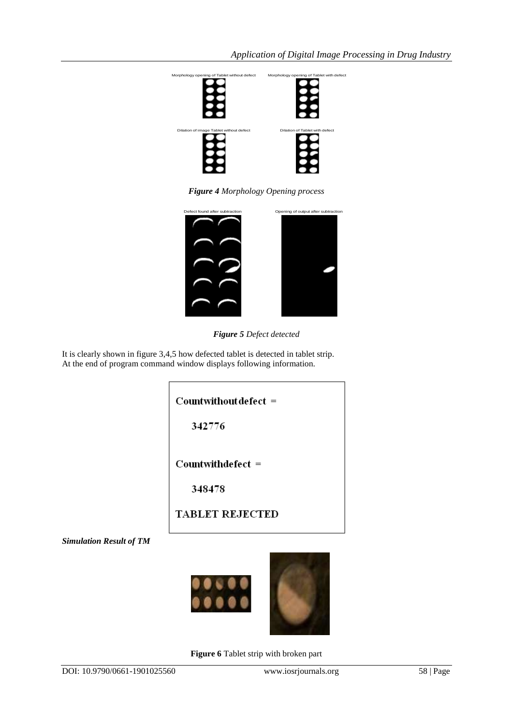

*Figure 4 Morphology Opening process*



*Figure 5 Defect detected*

It is clearly shown in figure 3,4,5 how defected tablet is detected in tablet strip. At the end of program command window displays following information.

Countwithout defect =

342776

Countwithdefect =

348478

**TABLET REJECTED** 

*Simulation Result of TM*



**Figure 6** Tablet strip with broken part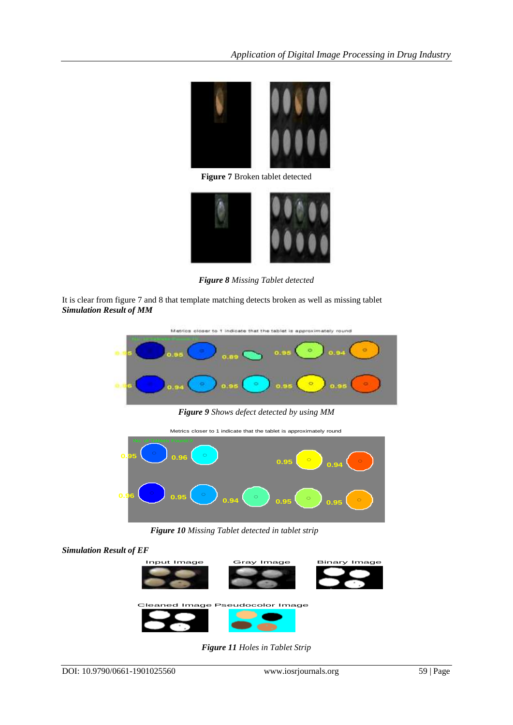

**Figure 7** Broken tablet detected



*Figure 8 Missing Tablet detected*

It is clear from figure 7 and 8 that template matching detects broken as well as missing tablet *Simulation Result of MM*



*Figure 9 Shows defect detected by using MM*



 *Figure 10 Missing Tablet detected in tablet strip*





*Figure 11 Holes in Tablet Strip*